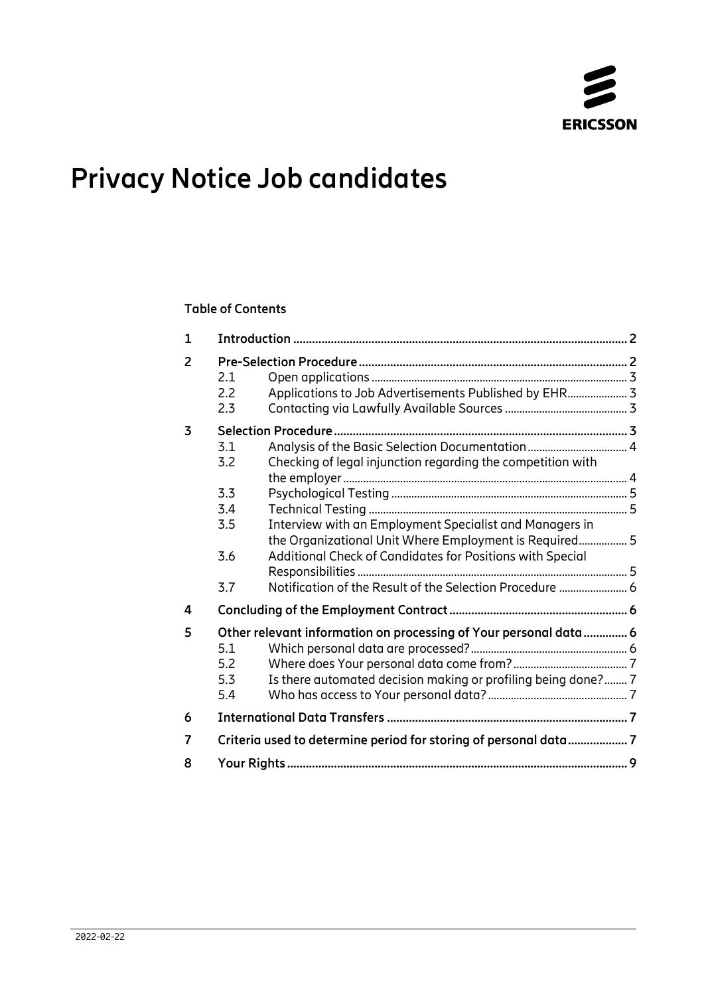

# **Privacy Notice Job candidates**

### **Table of Contents**

| 2.1<br>2.2<br>2.3 | Applications to Job Advertisements Published by EHR 3       |                                                                                                                                                                                                                                                                 |
|-------------------|-------------------------------------------------------------|-----------------------------------------------------------------------------------------------------------------------------------------------------------------------------------------------------------------------------------------------------------------|
|                   |                                                             |                                                                                                                                                                                                                                                                 |
|                   |                                                             |                                                                                                                                                                                                                                                                 |
| 3.2               | Checking of legal injunction regarding the competition with |                                                                                                                                                                                                                                                                 |
|                   |                                                             |                                                                                                                                                                                                                                                                 |
|                   |                                                             |                                                                                                                                                                                                                                                                 |
| 3.5               | Interview with an Employment Specialist and Managers in     |                                                                                                                                                                                                                                                                 |
| 3.6               | Additional Check of Candidates for Positions with Special   |                                                                                                                                                                                                                                                                 |
| 3.7               | Notification of the Result of the Selection Procedure  6    |                                                                                                                                                                                                                                                                 |
|                   |                                                             |                                                                                                                                                                                                                                                                 |
|                   |                                                             |                                                                                                                                                                                                                                                                 |
|                   |                                                             |                                                                                                                                                                                                                                                                 |
|                   |                                                             |                                                                                                                                                                                                                                                                 |
|                   |                                                             |                                                                                                                                                                                                                                                                 |
| 5.4               |                                                             |                                                                                                                                                                                                                                                                 |
|                   |                                                             |                                                                                                                                                                                                                                                                 |
|                   |                                                             |                                                                                                                                                                                                                                                                 |
|                   |                                                             |                                                                                                                                                                                                                                                                 |
|                   | 3.1<br>3.3<br>3.4<br>5.1<br>5.2<br>5.3                      | the Organizational Unit Where Employment is Required 5<br>Other relevant information on processing of Your personal data 6<br>Is there automated decision making or profiling being done? 7<br>Criteria used to determine period for storing of personal data 7 |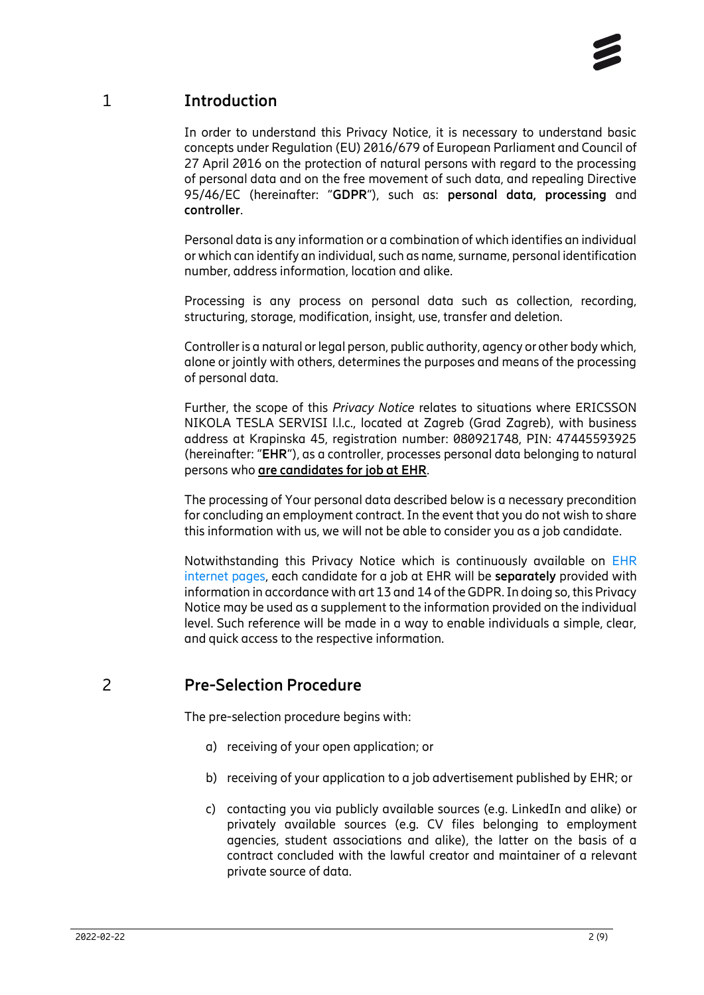# 1 **Introduction**

<span id="page-1-0"></span>In order to understand this Privacy Notice, it is necessary to understand basic concepts under Regulation (EU) 2016/679 of European Parliament and Council of 27 April 2016 on the protection of natural persons with regard to the processing of personal data and on the free movement of such data, and repealing Directive 95/46/EC (hereinafter: "**GDPR**"), such as: **personal data, processing** and **controller**.

Personal data is any information or a combination of which identifies an individual or which can identify an individual, such as name, surname, personal identification number, address information, location and alike.

Processing is any process on personal data such as collection, recording, structuring, storage, modification, insight, use, transfer and deletion.

Controller is a natural or legal person, public authority, agency or other body which, alone or jointly with others, determines the purposes and means of the processing of personal data.

Further, the scope of this *Privacy Notice* relates to situations where ERICSSON NIKOLA TESLA SERVISI l.l.c., located at Zagreb (Grad Zagreb), with business address at Krapinska 45, registration number: 080921748, PIN: 47445593925 (hereinafter: "**EHR**"), as a controller, processes personal data belonging to natural persons who **are candidates for job at EHR**.

The processing of Your personal data described below is a necessary precondition for concluding an employment contract. In the event that you do not wish to share this information with us, we will not be able to consider you as a job candidate.

Notwithstanding this Privacy Notice which is continuously available on [EHR](https://www.ericsson.hr/en/privacy) [internet pages,](https://www.ericsson.hr/en/privacy) each candidate for a job at EHR will be **separately** provided with information in accordance with art 13 and 14 of the GDPR. In doing so, this Privacy Notice may be used as a supplement to the information provided on the individual level. Such reference will be made in a way to enable individuals a simple, clear, and quick access to the respective information.

# 2 **Pre-Selection Procedure**

<span id="page-1-1"></span>The pre-selection procedure begins with:

- a) receiving of your open application; or
- b) receiving of your application to a job advertisement published by EHR; or
- c) contacting you via publicly available sources (e.g. LinkedIn and alike) or privately available sources (e.g. CV files belonging to employment agencies, student associations and alike), the latter on the basis of a contract concluded with the lawful creator and maintainer of a relevant private source of data.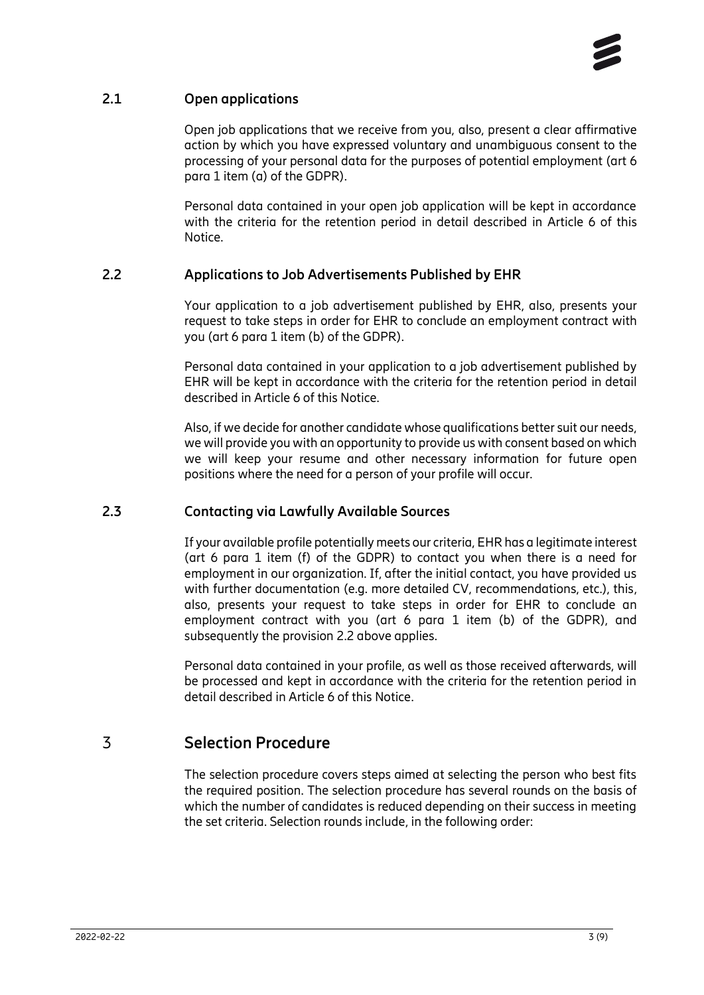#### **2.1 Open applications**

<span id="page-2-0"></span>Open job applications that we receive from you, also, present a clear affirmative action by which you have expressed voluntary and unambiguous consent to the processing of your personal data for the purposes of potential employment (art 6 para 1 item (a) of the GDPR).

Personal data contained in your open job application will be kept in accordance with the criteria for the retention period in detail described in Article 6 of this Notice.

#### **2.2 Applications to Job Advertisements Published by EHR**

<span id="page-2-1"></span>Your application to a job advertisement published by EHR, also, presents your request to take steps in order for EHR to conclude an employment contract with you (art 6 para 1 item (b) of the GDPR).

Personal data contained in your application to a job advertisement published by EHR will be kept in accordance with the criteria for the retention period in detail described in Article 6 of this Notice.

Also, if we decide for another candidate whose qualifications better suit our needs, we will provide you with an opportunity to provide us with consent based on which we will keep your resume and other necessary information for future open positions where the need for a person of your profile will occur.

#### **2.3 Contacting via Lawfully Available Sources**

<span id="page-2-2"></span>If your available profile potentially meets our criteria, EHR has a legitimate interest (art 6 para 1 item (f) of the GDPR) to contact you when there is a need for employment in our organization. If, after the initial contact, you have provided us with further documentation (e.g. more detailed CV, recommendations, etc.), this, also, presents your request to take steps in order for EHR to conclude an employment contract with you (art 6 para 1 item (b) of the GDPR), and subsequently the provision 2.2 above applies.

Personal data contained in your profile, as well as those received afterwards, will be processed and kept in accordance with the criteria for the retention period in detail described in Article 6 of this Notice.

# 3 **Selection Procedure**

<span id="page-2-3"></span>The selection procedure covers steps aimed at selecting the person who best fits the required position. The selection procedure has several rounds on the basis of which the number of candidates is reduced depending on their success in meeting the set criteria. Selection rounds include, in the following order: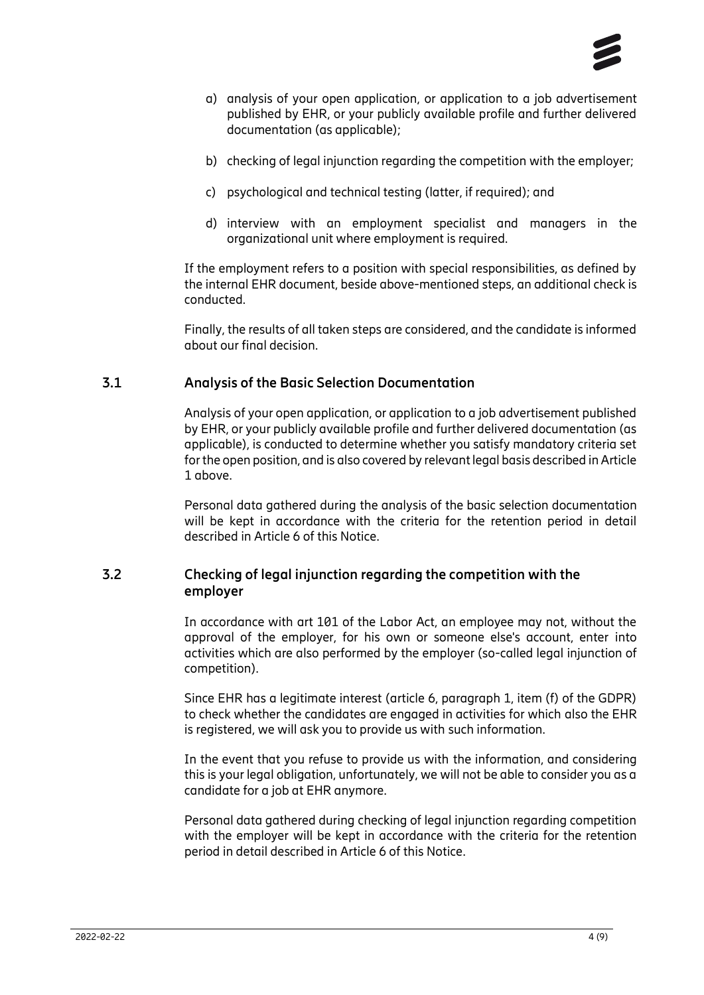

- a) analysis of your open application, or application to a job advertisement published by EHR, or your publicly available profile and further delivered documentation (as applicable);
- b) checking of legal injunction regarding the competition with the employer;
- c) psychological and technical testing (latter, if required); and
- d) interview with an employment specialist and managers in the organizational unit where employment is required.

If the employment refers to a position with special responsibilities, as defined by the internal EHR document, beside above-mentioned steps, an additional check is conducted.

Finally, the results of all taken steps are considered, and the candidate is informed about our final decision.

#### **3.1 Analysis of the Basic Selection Documentation**

<span id="page-3-0"></span>Analysis of your open application, or application to a job advertisement published by EHR, or your publicly available profile and further delivered documentation (as applicable), is conducted to determine whether you satisfy mandatory criteria set for the open position, and is also covered by relevant legal basis described in Article 1 above.

Personal data gathered during the analysis of the basic selection documentation will be kept in accordance with the criteria for the retention period in detail described in Article 6 of this Notice.

#### **3.2 Checking of legal injunction regarding the competition with the employer**

<span id="page-3-1"></span>In accordance with art 101 of the Labor Act, an employee may not, without the approval of the employer, for his own or someone else's account, enter into activities which are also performed by the employer (so-called legal injunction of competition).

Since EHR has a legitimate interest (article 6, paragraph 1, item (f) of the GDPR) to check whether the candidates are engaged in activities for which also the EHR is registered, we will ask you to provide us with such information.

In the event that you refuse to provide us with the information, and considering this is your legal obligation, unfortunately, we will not be able to consider you as a candidate for a job at EHR anymore.

Personal data gathered during checking of legal injunction regarding competition with the employer will be kept in accordance with the criteria for the retention period in detail described in Article 6 of this Notice.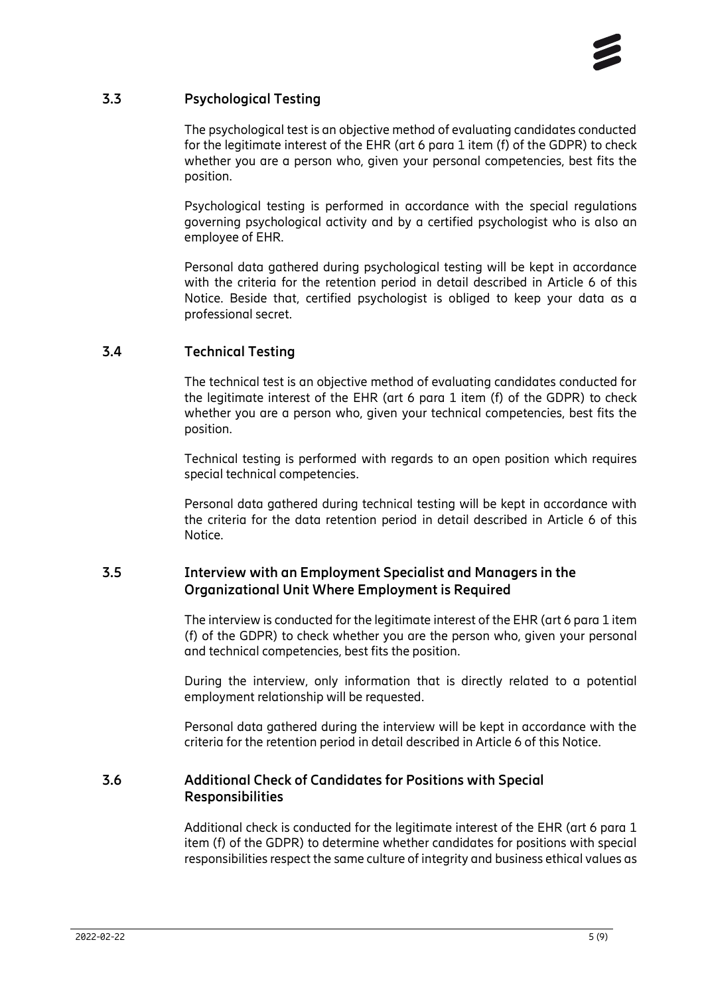

#### **3.3 Psychological Testing**

<span id="page-4-0"></span>The psychological test is an objective method of evaluating candidates conducted for the legitimate interest of the EHR (art 6 para 1 item (f) of the GDPR) to check whether you are a person who, given your personal competencies, best fits the position.

Psychological testing is performed in accordance with the special regulations governing psychological activity and by a certified psychologist who is also an employee of EHR.

Personal data gathered during psychological testing will be kept in accordance with the criteria for the retention period in detail described in Article 6 of this Notice. Beside that, certified psychologist is obliged to keep your data as a professional secret.

#### **3.4 Technical Testing**

<span id="page-4-1"></span>The technical test is an objective method of evaluating candidates conducted for the legitimate interest of the EHR (art 6 para 1 item (f) of the GDPR) to check whether you are a person who, given your technical competencies, best fits the position.

Technical testing is performed with regards to an open position which requires special technical competencies.

Personal data gathered during technical testing will be kept in accordance with the criteria for the data retention period in detail described in Article 6 of this Notice.

#### **3.5 Interview with an Employment Specialist and Managers in the Organizational Unit Where Employment is Required**

<span id="page-4-2"></span>The interview is conducted for the legitimate interest of the EHR (art 6 para 1 item (f) of the GDPR) to check whether you are the person who, given your personal and technical competencies, best fits the position.

During the interview, only information that is directly related to a potential employment relationship will be requested.

<span id="page-4-3"></span>Personal data gathered during the interview will be kept in accordance with the criteria for the retention period in detail described in Article 6 of this Notice.

#### **3.6 Additional Check of Candidates for Positions with Special Responsibilities**

Additional check is conducted for the legitimate interest of the EHR (art 6 para 1 item (f) of the GDPR) to determine whether candidates for positions with special responsibilities respect the same culture of integrity and business ethical values as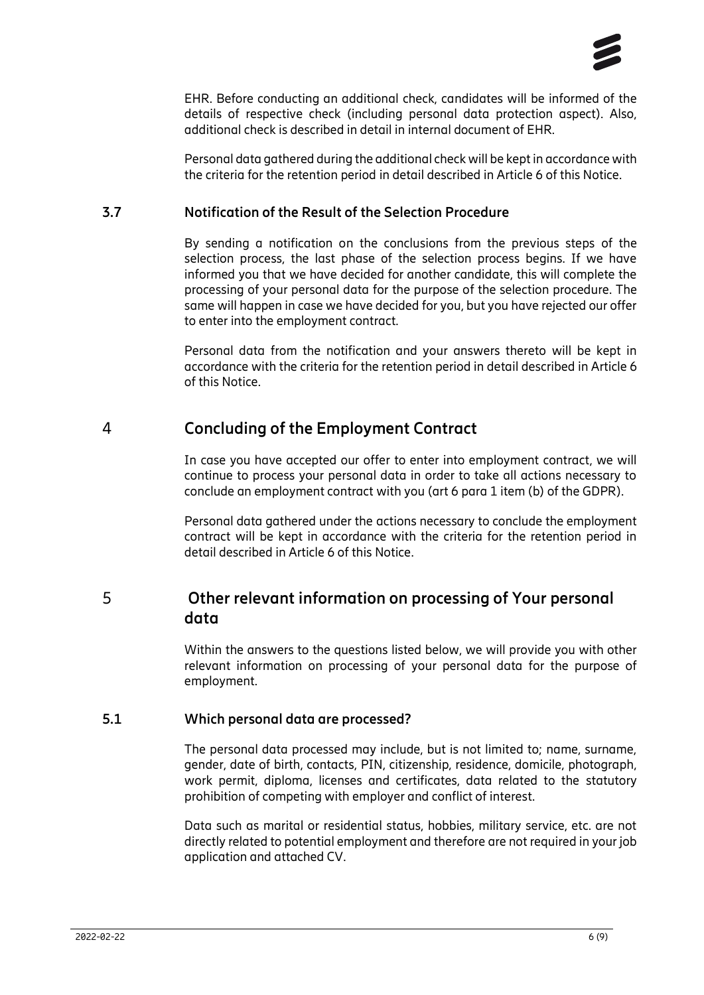

EHR. Before conducting an additional check, candidates will be informed of the details of respective check (including personal data protection aspect). Also, additional check is described in detail in internal document of EHR.

Personal data gathered during the additional check will be kept in accordance with the criteria for the retention period in detail described in Article 6 of this Notice.

#### **3.7 Notification of the Result of the Selection Procedure**

<span id="page-5-0"></span>By sending a notification on the conclusions from the previous steps of the selection process, the last phase of the selection process begins. If we have informed you that we have decided for another candidate, this will complete the processing of your personal data for the purpose of the selection procedure. The same will happen in case we have decided for you, but you have rejected our offer to enter into the employment contract.

Personal data from the notification and your answers thereto will be kept in accordance with the criteria for the retention period in detail described in Article 6 of this Notice.

## 4 **Concluding of the Employment Contract**

<span id="page-5-1"></span>In case you have accepted our offer to enter into employment contract, we will continue to process your personal data in order to take all actions necessary to conclude an employment contract with you (art 6 para 1 item (b) of the GDPR).

<span id="page-5-2"></span>Personal data gathered under the actions necessary to conclude the employment contract will be kept in accordance with the criteria for the retention period in detail described in Article 6 of this Notice.

# 5 **Other relevant information on processing of Your personal data**

Within the answers to the questions listed below, we will provide you with other relevant information on processing of your personal data for the purpose of employment.

#### **5.1 Which personal data are processed?**

<span id="page-5-3"></span>The personal data processed may include, but is not limited to; name, surname, gender, date of birth, contacts, PIN, citizenship, residence, domicile, photograph, work permit, diploma, licenses and certificates, data related to the statutory prohibition of competing with employer and conflict of interest.

Data such as marital or residential status, hobbies, military service, etc. are not directly related to potential employment and therefore are not required in your job application and attached CV.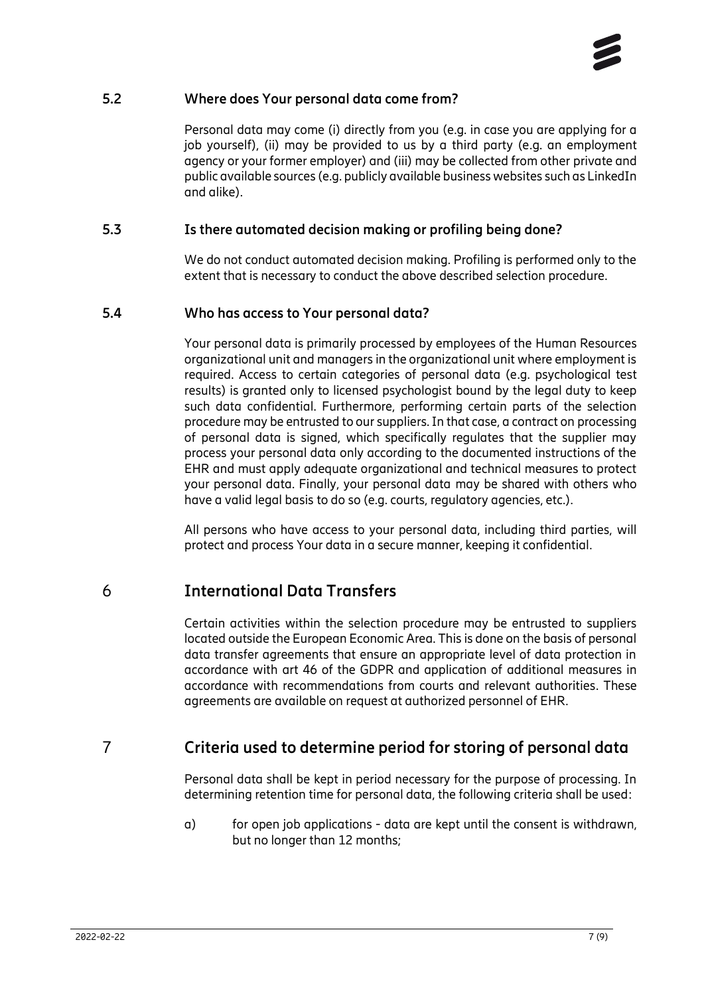#### **5.2 Where does Your personal data come from?**

<span id="page-6-0"></span>Personal data may come (i) directly from you (e.g. in case you are applying for a job yourself), (ii) may be provided to us by a third party (e.g. an employment agency or your former employer) and (iii) may be collected from other private and public available sources (e.g. publicly available business websites such as LinkedIn and alike).

#### **5.3 Is there automated decision making or profiling being done?**

<span id="page-6-1"></span>We do not conduct automated decision making. Profiling is performed only to the extent that is necessary to conduct the above described selection procedure.

#### **5.4 Who has access to Your personal data?**

<span id="page-6-2"></span>Your personal data is primarily processed by employees of the Human Resources organizational unit and managers in the organizational unit where employment is required. Access to certain categories of personal data (e.g. psychological test results) is granted only to licensed psychologist bound by the legal duty to keep such data confidential. Furthermore, performing certain parts of the selection procedure may be entrusted to our suppliers. In that case, a contract on processing of personal data is signed, which specifically regulates that the supplier may process your personal data only according to the documented instructions of the EHR and must apply adequate organizational and technical measures to protect your personal data. Finally, your personal data may be shared with others who have a valid legal basis to do so (e.g. courts, regulatory agencies, etc.).

<span id="page-6-3"></span>All persons who have access to your personal data, including third parties, will protect and process Your data in a secure manner, keeping it confidential.

# 6 **International Data Transfers**

Certain activities within the selection procedure may be entrusted to suppliers located outside the European Economic Area. This is done on the basis of personal data transfer agreements that ensure an appropriate level of data protection in accordance with art 46 of the GDPR and application of additional measures in accordance with recommendations from courts and relevant authorities. These agreements are available on request at authorized personnel of EHR.

# 7 **Criteria used to determine period for storing of personal data**

<span id="page-6-4"></span>Personal data shall be kept in period necessary for the purpose of processing. In determining retention time for personal data, the following criteria shall be used:

a) for open job applications - data are kept until the consent is withdrawn, but no longer than 12 months;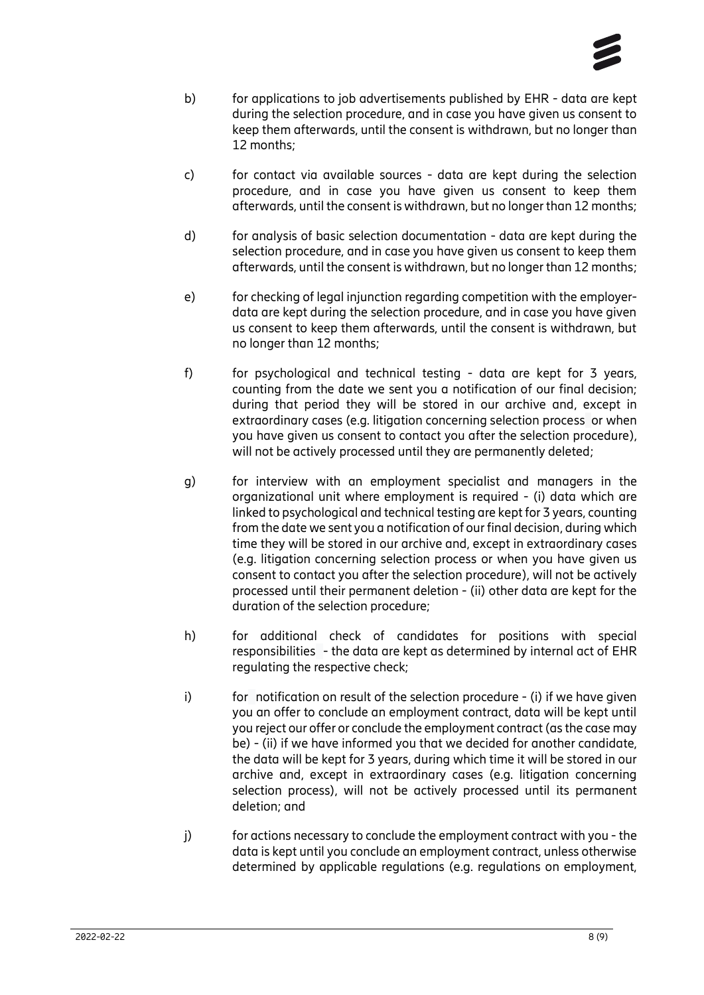

- b) for applications to job advertisements published by EHR data are kept during the selection procedure, and in case you have given us consent to keep them afterwards, until the consent is withdrawn, but no longer than 12 months;
- c) for contact via available sources data are kept during the selection procedure, and in case you have given us consent to keep them afterwards, until the consent is withdrawn, but no longer than 12 months;
- d) for analysis of basic selection documentation data are kept during the selection procedure, and in case you have given us consent to keep them afterwards, until the consent is withdrawn, but no longer than 12 months;
- e) for checking of legal injunction regarding competition with the employerdata are kept during the selection procedure, and in case you have given us consent to keep them afterwards, until the consent is withdrawn, but no longer than 12 months;
- f) for psychological and technical testing data are kept for 3 years, counting from the date we sent you a notification of our final decision; during that period they will be stored in our archive and, except in extraordinary cases (e.g. litigation concerning selection process or when you have given us consent to contact you after the selection procedure), will not be actively processed until they are permanently deleted;
- g) for interview with an employment specialist and managers in the organizational unit where employment is required - (i) data which are linked to psychological and technical testing are kept for 3 years, counting from the date we sent you a notification of our final decision, during which time they will be stored in our archive and, except in extraordinary cases (e.g. litigation concerning selection process or when you have given us consent to contact you after the selection procedure), will not be actively processed until their permanent deletion - (ii) other data are kept for the duration of the selection procedure;
- h) for additional check of candidates for positions with special responsibilities - the data are kept as determined by internal act of EHR regulating the respective check;
- i) for notification on result of the selection procedure (i) if we have given you an offer to conclude an employment contract, data will be kept until you reject our offer or conclude the employment contract (as the case may be) - (ii) if we have informed you that we decided for another candidate, the data will be kept for 3 years, during which time it will be stored in our archive and, except in extraordinary cases (e.g. litigation concerning selection process), will not be actively processed until its permanent deletion; and
- j) for actions necessary to conclude the employment contract with you the data is kept until you conclude an employment contract, unless otherwise determined by applicable regulations (e.g. regulations on employment,